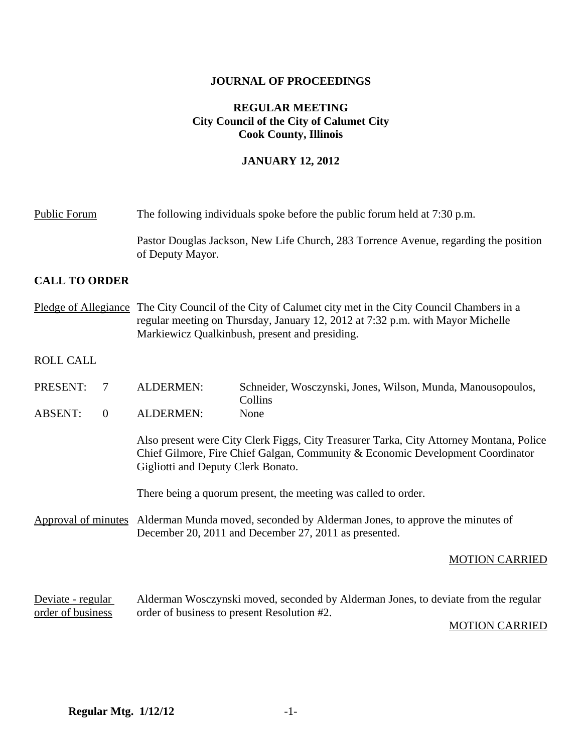#### **JOURNAL OF PROCEEDINGS**

### **REGULAR MEETING City Council of the City of Calumet City Cook County, Illinois**

#### **JANUARY 12, 2012**

| Public Forum | The following individuals spoke before the public forum held at 7:30 p.m. |  |  |
|--------------|---------------------------------------------------------------------------|--|--|
|              |                                                                           |  |  |

Pastor Douglas Jackson, New Life Church, 283 Torrence Avenue, regarding the position of Deputy Mayor.

#### **CALL TO ORDER**

- Pledge of Allegiance The City Council of the City of Calumet city met in the City Council Chambers in a regular meeting on Thursday, January 12, 2012 at 7:32 p.m. with Mayor Michelle Markiewicz Qualkinbush, present and presiding.
- ROLL CALL
- PRESENT: 7 ALDERMEN: Schneider, Wosczynski, Jones, Wilson, Munda, Manousopoulos, Collins ABSENT: 0 ALDERMEN: None

Also present were City Clerk Figgs, City Treasurer Tarka, City Attorney Montana, Police Chief Gilmore, Fire Chief Galgan, Community & Economic Development Coordinator

There being a quorum present, the meeting was called to order.

Approval of minutes Alderman Munda moved, seconded by Alderman Jones, to approve the minutes of December 20, 2011 and December 27, 2011 as presented.

Gigliotti and Deputy Clerk Bonato.

#### MOTION CARRIED

Deviate - regular Alderman Wosczynski moved, seconded by Alderman Jones, to deviate from the regular order of business order of business to present Resolution #2.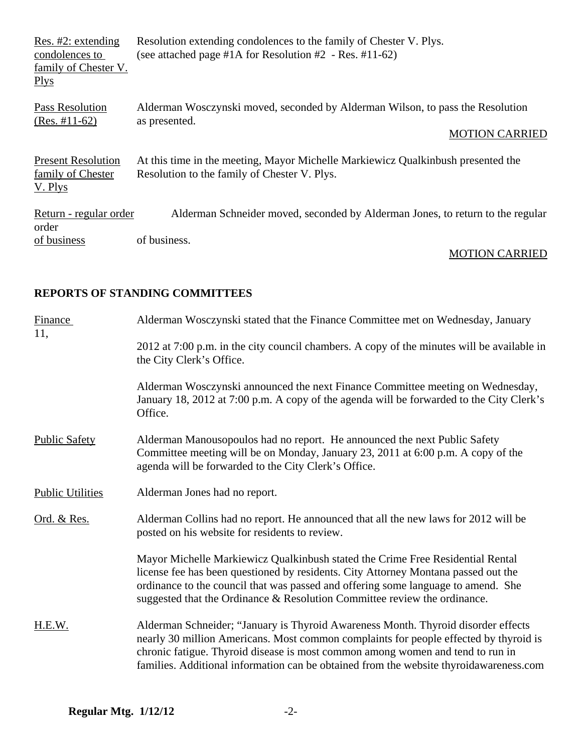| Res. #2: extending<br>condolences to<br>family of Chester V.<br><b>Plys</b> | Resolution extending condolences to the family of Chester V. Plys.<br>(see attached page #1A for Resolution #2 - Res. #11-62)    |
|-----------------------------------------------------------------------------|----------------------------------------------------------------------------------------------------------------------------------|
| Pass Resolution<br>$(Res. #11-62)$                                          | Alderman Wosczynski moved, seconded by Alderman Wilson, to pass the Resolution<br>as presented.<br><b>MOTION CARRIED</b>         |
|                                                                             |                                                                                                                                  |
| <b>Present Resolution</b><br>family of Chester<br>V. Plys                   | At this time in the meeting, Mayor Michelle Markiewicz Qualkinbush presented the<br>Resolution to the family of Chester V. Plys. |
| Return - regular order<br>order                                             | Alderman Schneider moved, seconded by Alderman Jones, to return to the regular                                                   |
| of business                                                                 | of business.<br><b>MOTION CARRIED</b>                                                                                            |

## **REPORTS OF STANDING COMMITTEES**

| <b>Finance</b><br>11,   | Alderman Wosczynski stated that the Finance Committee met on Wednesday, January                                                                                                                                                                                                                                                                        |  |  |
|-------------------------|--------------------------------------------------------------------------------------------------------------------------------------------------------------------------------------------------------------------------------------------------------------------------------------------------------------------------------------------------------|--|--|
|                         | 2012 at 7:00 p.m. in the city council chambers. A copy of the minutes will be available in<br>the City Clerk's Office.                                                                                                                                                                                                                                 |  |  |
|                         | Alderman Wosczynski announced the next Finance Committee meeting on Wednesday,<br>January 18, 2012 at 7:00 p.m. A copy of the agenda will be forwarded to the City Clerk's<br>Office.                                                                                                                                                                  |  |  |
| <b>Public Safety</b>    | Alderman Manousopoulos had no report. He announced the next Public Safety<br>Committee meeting will be on Monday, January 23, 2011 at 6:00 p.m. A copy of the<br>agenda will be forwarded to the City Clerk's Office.                                                                                                                                  |  |  |
| <b>Public Utilities</b> | Alderman Jones had no report.                                                                                                                                                                                                                                                                                                                          |  |  |
| Ord. & Res.             | Alderman Collins had no report. He announced that all the new laws for 2012 will be<br>posted on his website for residents to review.                                                                                                                                                                                                                  |  |  |
|                         | Mayor Michelle Markiewicz Qualkinbush stated the Crime Free Residential Rental<br>license fee has been questioned by residents. City Attorney Montana passed out the<br>ordinance to the council that was passed and offering some language to amend. She<br>suggested that the Ordinance & Resolution Committee review the ordinance.                 |  |  |
| <u>H.E.W.</u>           | Alderman Schneider; "January is Thyroid Awareness Month. Thyroid disorder effects<br>nearly 30 million Americans. Most common complaints for people effected by thyroid is<br>chronic fatigue. Thyroid disease is most common among women and tend to run in<br>families. Additional information can be obtained from the website thyroidawareness.com |  |  |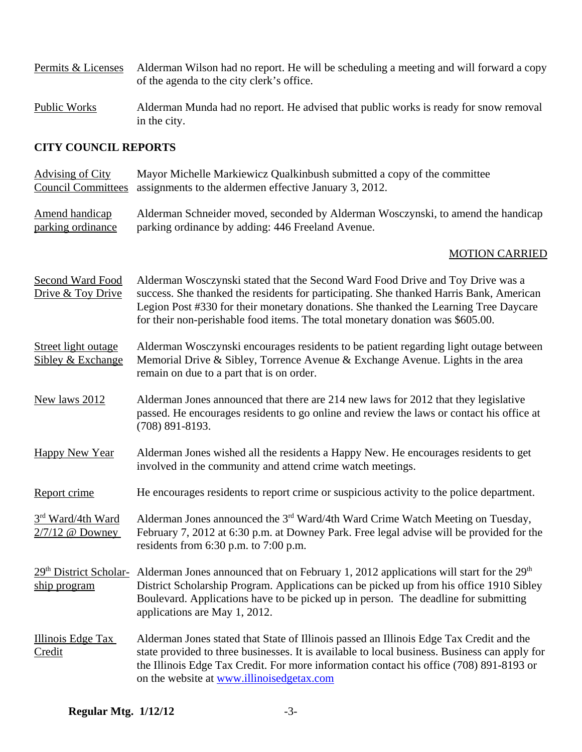| Permits & Licenses Alderman Wilson had no report. He will be scheduling a meeting and will forward a copy |
|-----------------------------------------------------------------------------------------------------------|
| of the agenda to the city clerk's office.                                                                 |

Public Works Alderman Munda had no report. He advised that public works is ready for snow removal in the city.

#### **CITY COUNCIL REPORTS**

Advising of City Mayor Michelle Markiewicz Qualkinbush submitted a copy of the committee Council Committees assignments to the aldermen effective January 3, 2012.

Amend handicap Alderman Schneider moved, seconded by Alderman Wosczynski, to amend the handicap parking ordinance parking ordinance by adding: 446 Freeland Avenue.

| Second Ward Food    | Alderman Wosczynski stated that the Second Ward Food Drive and Toy Drive was a          |
|---------------------|-----------------------------------------------------------------------------------------|
| Drive & Toy Drive   | success. She thanked the residents for participating. She thanked Harris Bank, American |
|                     | Legion Post #330 for their monetary donations. She thanked the Learning Tree Daycare    |
|                     | for their non-perishable food items. The total monetary donation was \$605.00.          |
|                     |                                                                                         |
| Street light outage | Alderman Wosczynski encourages residents to be patient regarding light outage between   |
| Sibley & Exchange   | Memorial Drive & Sibley, Torrence Avenue & Exchange Avenue. Lights in the area          |
|                     | remain on due to a part that is on order.                                               |
|                     |                                                                                         |

- New laws 2012 Alderman Jones announced that there are 214 new laws for 2012 that they legislative passed. He encourages residents to go online and review the laws or contact his office at (708) 891-8193.
- Happy New Year Alderman Jones wished all the residents a Happy New. He encourages residents to get involved in the community and attend crime watch meetings.
- Report crime He encourages residents to report crime or suspicious activity to the police department.
- 3<sup>rd</sup> Ward/4th Ward Alderman Jones announced the 3<sup>rd</sup> Ward/4th Ward Crime Watch Meeting on Tuesday, 2/7/12 @ Downey February 7, 2012 at 6:30 p.m. at Downey Park. Free legal advise will be provided for the residents from 6:30 p.m. to 7:00 p.m.
- $29<sup>th</sup>$  District Scholar- Alderman Jones announced that on February 1, 2012 applications will start for the  $29<sup>th</sup>$ ship program District Scholarship Program. Applications can be picked up from his office 1910 Sibley Boulevard. Applications have to be picked up in person. The deadline for submitting applications are May 1, 2012.
- Illinois Edge Tax Alderman Jones stated that State of Illinois passed an Illinois Edge Tax Credit and the Credit state provided to three businesses. It is available to local business. Business can apply for the Illinois Edge Tax Credit. For more information contact his office (708) 891-8193 or on the website at www.illinoisedgetax.com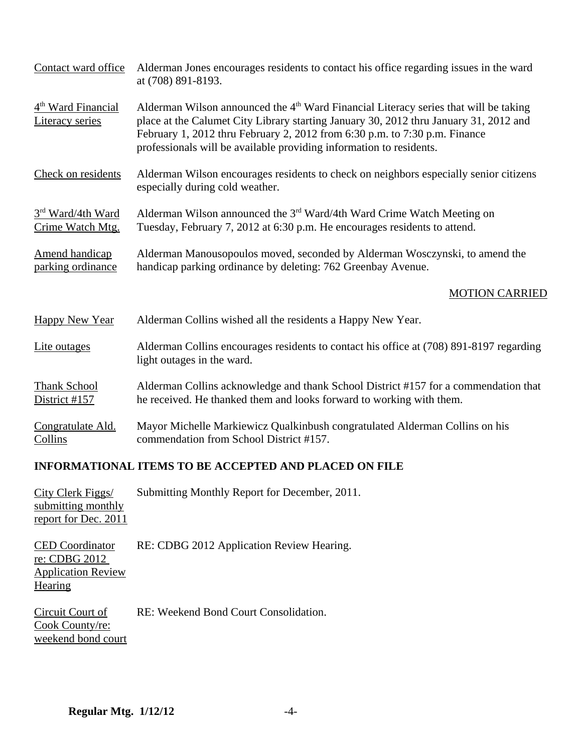| Contact ward office                                      | Alderman Jones encourages residents to contact his office regarding issues in the ward<br>at (708) 891-8193.                                                                                                                                                                                                                                   |
|----------------------------------------------------------|------------------------------------------------------------------------------------------------------------------------------------------------------------------------------------------------------------------------------------------------------------------------------------------------------------------------------------------------|
| 4 <sup>th</sup> Ward Financial<br><b>Literacy</b> series | Alderman Wilson announced the 4 <sup>th</sup> Ward Financial Literacy series that will be taking<br>place at the Calumet City Library starting January 30, 2012 thru January 31, 2012 and<br>February 1, 2012 thru February 2, 2012 from 6:30 p.m. to 7:30 p.m. Finance<br>professionals will be available providing information to residents. |
| Check on residents                                       | Alderman Wilson encourages residents to check on neighbors especially senior citizens<br>especially during cold weather.                                                                                                                                                                                                                       |
| $3rd$ Ward/4th Ward<br>Crime Watch Mtg.                  | Alderman Wilson announced the 3 <sup>rd</sup> Ward/4th Ward Crime Watch Meeting on<br>Tuesday, February 7, 2012 at 6:30 p.m. He encourages residents to attend.                                                                                                                                                                                |
| <b>Amend handicap</b><br>parking ordinance               | Alderman Manousopoulos moved, seconded by Alderman Wosczynski, to amend the<br>handicap parking ordinance by deleting: 762 Greenbay Avenue.                                                                                                                                                                                                    |
|                                                          | <b>MOTION CARRIED</b>                                                                                                                                                                                                                                                                                                                          |
| <b>Happy New Year</b>                                    | Alderman Collins wished all the residents a Happy New Year.                                                                                                                                                                                                                                                                                    |
| Lite outages                                             | Alderman Collins encourages residents to contact his office at (708) 891-8197 regarding<br>light outages in the ward.                                                                                                                                                                                                                          |
| Thank School<br>District #157                            | Alderman Collins acknowledge and thank School District #157 for a commendation that<br>he received. He thanked them and looks forward to working with them.                                                                                                                                                                                    |
| Congratulate Ald.<br>Collins                             | Mayor Michelle Markiewicz Qualkinbush congratulated Alderman Collins on his<br>commendation from School District #157.                                                                                                                                                                                                                         |

# **INFORMATIONAL ITEMS TO BE ACCEPTED AND PLACED ON FILE**

| City Clerk Figgs/<br>submitting monthly<br>report for Dec. 2011                 | Submitting Monthly Report for December, 2011. |
|---------------------------------------------------------------------------------|-----------------------------------------------|
| <b>CED</b> Coordinator<br>re: CDBG 2012<br><b>Application Review</b><br>Hearing | RE: CDBG 2012 Application Review Hearing.     |
| Circuit Court of<br>Cook County/re:<br>weekend bond court                       | RE: Weekend Bond Court Consolidation.         |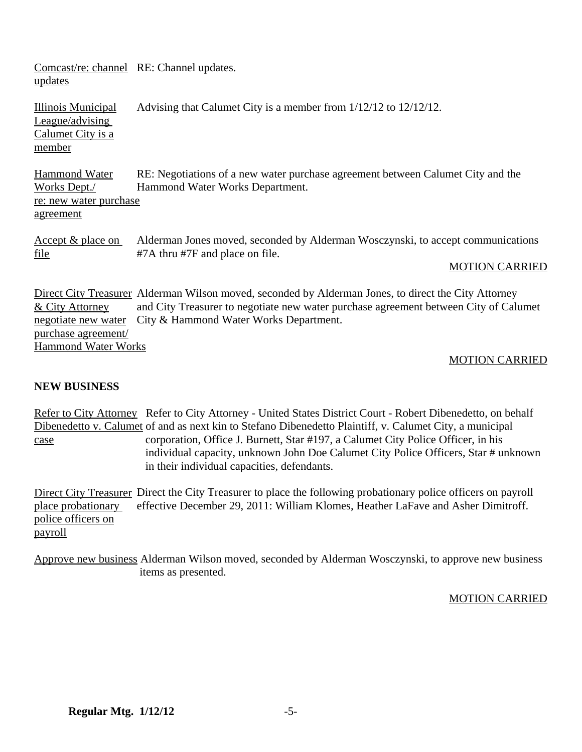| updates                                                                                            | Comcast/re: channel RE: Channel updates.                                                                                                                                                                                               |
|----------------------------------------------------------------------------------------------------|----------------------------------------------------------------------------------------------------------------------------------------------------------------------------------------------------------------------------------------|
| <b>Illinois Municipal</b><br>League/advising<br>Calumet City is a<br>member                        | Advising that Calumet City is a member from $1/12/12$ to $12/12/12$ .                                                                                                                                                                  |
| <b>Hammond Water</b><br>Works Dept./<br><u>re: new water purchase</u><br>agreement                 | RE: Negotiations of a new water purchase agreement between Calumet City and the<br>Hammond Water Works Department.                                                                                                                     |
| Accept & place on<br>file                                                                          | Alderman Jones moved, seconded by Alderman Wosczynski, to accept communications<br>#7A thru #7F and place on file.<br><b>MOTION CARRIED</b>                                                                                            |
| & City Attorney<br>negotiate new water<br><u>purchase</u> agreement/<br><b>Hammond Water Works</b> | Direct City Treasurer Alderman Wilson moved, seconded by Alderman Jones, to direct the City Attorney<br>and City Treasurer to negotiate new water purchase agreement between City of Calumet<br>City & Hammond Water Works Department. |

#### MOTION CARRIED

#### **NEW BUSINESS**

Refer to City Attorney Refer to City Attorney - United States District Court - Robert Dibenedetto, on behalf Dibenedetto v. Calumet of and as next kin to Stefano Dibenedetto Plaintiff, v. Calumet City, a municipal case corporation, Office J. Burnett, Star #197, a Calumet City Police Officer, in his individual capacity, unknown John Doe Calumet City Police Officers, Star # unknown in their individual capacities, defendants.

Direct City Treasurer Direct the City Treasurer to place the following probationary police officers on payroll place probationary effective December 29, 2011: William Klomes, Heather LaFave and Asher Dimitroff. police officers on payroll

Approve new business Alderman Wilson moved, seconded by Alderman Wosczynski, to approve new business items as presented.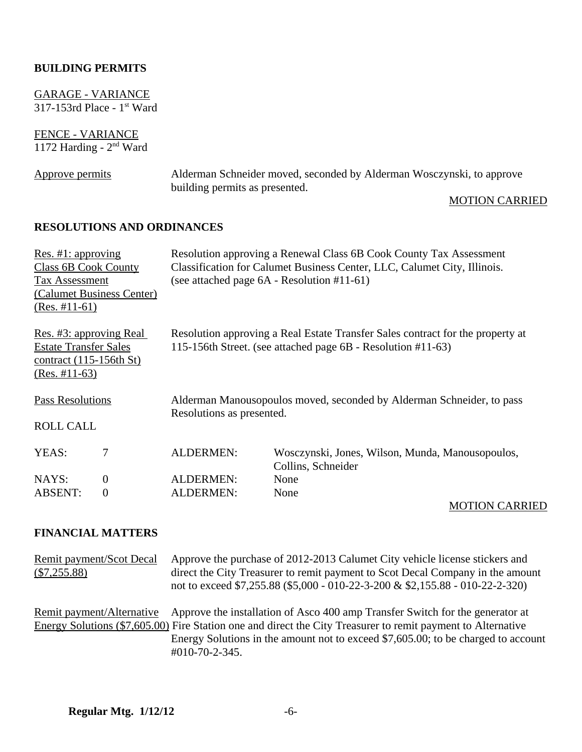### **BUILDING PERMITS**

GARAGE - VARIANCE 317-153rd Place - 1<sup>st</sup> Ward

FENCE - VARIANCE  $1172$  Harding -  $2<sup>nd</sup>$  Ward

| Approve permits | Alderman Schneider moved, seconded by Alderman Wosczynski, to approve<br>building permits as presented. |                       |
|-----------------|---------------------------------------------------------------------------------------------------------|-----------------------|
|                 |                                                                                                         | <b>MOTION CARRIED</b> |

### **RESOLUTIONS AND ORDINANCES**

| Res. #1: approving<br><b>Class 6B Cook County</b><br>Tax Assessment<br>(Calumet Business Center)<br>$(Res. #11-61)$ |                            |                                                                                                    | Resolution approving a Renewal Class 6B Cook County Tax Assessment<br>Classification for Calumet Business Center, LLC, Calumet City, Illinois.<br>(see attached page 6A - Resolution #11-61) |
|---------------------------------------------------------------------------------------------------------------------|----------------------------|----------------------------------------------------------------------------------------------------|----------------------------------------------------------------------------------------------------------------------------------------------------------------------------------------------|
| Res. #3: approving Real<br><b>Estate Transfer Sales</b><br>$contract (115-156th St)$<br>$(Res. #11-63)$             |                            |                                                                                                    | Resolution approving a Real Estate Transfer Sales contract for the property at<br>115-156th Street. (see attached page 6B - Resolution #11-63)                                               |
| Pass Resolutions                                                                                                    |                            | Alderman Manousopoulos moved, seconded by Alderman Schneider, to pass<br>Resolutions as presented. |                                                                                                                                                                                              |
| <b>ROLL CALL</b>                                                                                                    |                            |                                                                                                    |                                                                                                                                                                                              |
| YEAS:                                                                                                               | 7                          | <b>ALDERMEN:</b>                                                                                   | Wosczynski, Jones, Wilson, Munda, Manousopoulos,<br>Collins, Schneider                                                                                                                       |
| NAYS:<br><b>ABSENT:</b>                                                                                             | $\overline{0}$<br>$\theta$ | ALDERMEN:<br><b>ALDERMEN:</b>                                                                      | None<br>None                                                                                                                                                                                 |

#### MOTION CARRIED

# **FINANCIAL MATTERS**

| Remit payment/Scot Decal | Approve the purchase of 2012-2013 Calumet City vehicle license stickers and                                                        |
|--------------------------|------------------------------------------------------------------------------------------------------------------------------------|
| $(\$7,255.88)$           | direct the City Treasurer to remit payment to Scot Decal Company in the amount                                                     |
|                          | not to exceed \$7,255.88 (\$5,000 - 010-22-3-200 & \$2,155.88 - 010-22-2-320)                                                      |
|                          | Remit payment/Alternative Approve the installation of Asco 400 amp Transfer Switch for the generator at                            |
|                          | Energy Solutions (\$7,605.00) Fire Station one and direct the City Treasurer to remit payment to Alternative                       |
|                          | Energy Solutions in the amount not to exceed \$7,605.00; to be charged to account<br>$\text{\#}010\text{-}70\text{-}2\text{-}345.$ |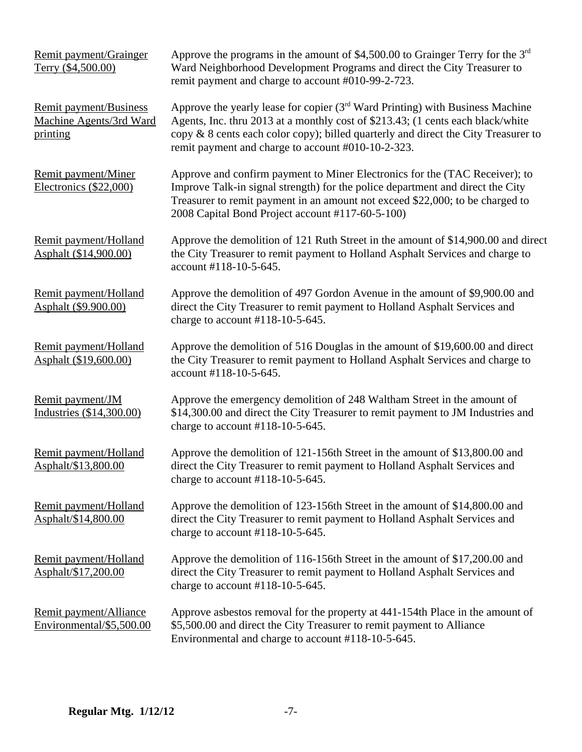| Remit payment/Grainger<br>Terry (\$4,500.00)                                | Approve the programs in the amount of \$4,500.00 to Grainger Terry for the $3rd$<br>Ward Neighborhood Development Programs and direct the City Treasurer to<br>remit payment and charge to account #010-99-2-723.                                                                                              |
|-----------------------------------------------------------------------------|----------------------------------------------------------------------------------------------------------------------------------------------------------------------------------------------------------------------------------------------------------------------------------------------------------------|
| <b>Remit payment/Business</b><br>Machine Agents/3rd Ward<br><u>printing</u> | Approve the yearly lease for copier $(3rd$ Ward Printing) with Business Machine<br>Agents, Inc. thru 2013 at a monthly cost of \$213.43; (1 cents each black/white<br>copy & 8 cents each color copy); billed quarterly and direct the City Treasurer to<br>remit payment and charge to account #010-10-2-323. |
| Remit payment/Miner<br>Electronics $(\$22,000)$                             | Approve and confirm payment to Miner Electronics for the (TAC Receiver); to<br>Improve Talk-in signal strength) for the police department and direct the City<br>Treasurer to remit payment in an amount not exceed \$22,000; to be charged to<br>2008 Capital Bond Project account #117-60-5-100)             |
| Remit payment/Holland<br>Asphalt (\$14,900.00)                              | Approve the demolition of 121 Ruth Street in the amount of \$14,900.00 and direct<br>the City Treasurer to remit payment to Holland Asphalt Services and charge to<br>account #118-10-5-645.                                                                                                                   |
| Remit payment/Holland<br>Asphalt (\$9.900.00)                               | Approve the demolition of 497 Gordon Avenue in the amount of \$9,900.00 and<br>direct the City Treasurer to remit payment to Holland Asphalt Services and<br>charge to account $\#118-10-5-645$ .                                                                                                              |
| Remit payment/Holland<br>Asphalt (\$19,600.00)                              | Approve the demolition of 516 Douglas in the amount of \$19,600.00 and direct<br>the City Treasurer to remit payment to Holland Asphalt Services and charge to<br>account #118-10-5-645.                                                                                                                       |
| Remit payment/JM<br>Industries (\$14,300.00)                                | Approve the emergency demolition of 248 Waltham Street in the amount of<br>\$14,300.00 and direct the City Treasurer to remit payment to JM Industries and<br>charge to account $#118-10-5-645$ .                                                                                                              |
| Remit payment/Holland<br>Asphalt/\$13,800.00                                | Approve the demolition of 121-156th Street in the amount of \$13,800.00 and<br>direct the City Treasurer to remit payment to Holland Asphalt Services and<br>charge to account $#118-10-5-645$ .                                                                                                               |
| Remit payment/Holland<br>Asphalt/\$14,800.00                                | Approve the demolition of 123-156th Street in the amount of \$14,800.00 and<br>direct the City Treasurer to remit payment to Holland Asphalt Services and<br>charge to account $#118-10-5-645$ .                                                                                                               |
| Remit payment/Holland<br>Asphalt/\$17,200.00                                | Approve the demolition of 116-156th Street in the amount of \$17,200.00 and<br>direct the City Treasurer to remit payment to Holland Asphalt Services and<br>charge to account $\#118-10-5-645$ .                                                                                                              |
| Remit payment/Alliance<br>Environmental/\$5,500.00                          | Approve asbestos removal for the property at 441-154th Place in the amount of<br>\$5,500.00 and direct the City Treasurer to remit payment to Alliance<br>Environmental and charge to account #118-10-5-645.                                                                                                   |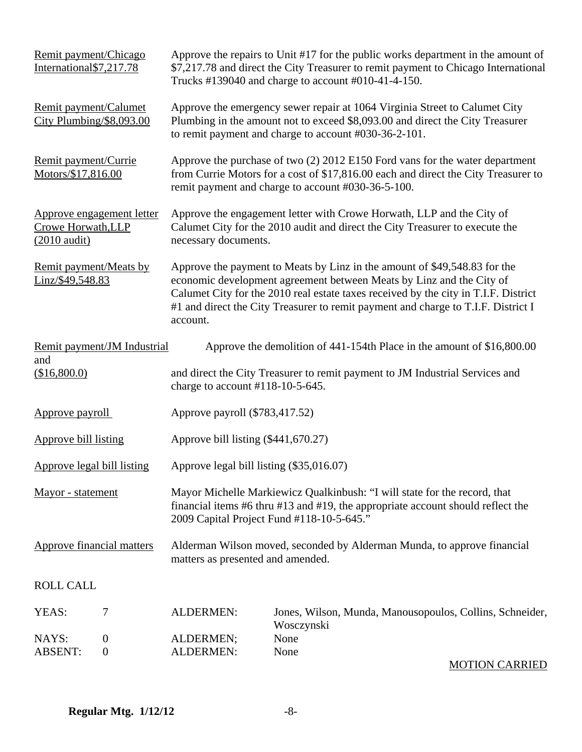| Remit payment/Chicago<br>International \$7,217.78                 |                                      | Approve the repairs to Unit #17 for the public works department in the amount of<br>\$7,217.78 and direct the City Treasurer to remit payment to Chicago International<br>Trucks #139040 and charge to account #010-41-4-150.                                                                                                 |  |
|-------------------------------------------------------------------|--------------------------------------|-------------------------------------------------------------------------------------------------------------------------------------------------------------------------------------------------------------------------------------------------------------------------------------------------------------------------------|--|
| Remit payment/Calumet<br>City Plumbing/\$8,093.00                 |                                      | Approve the emergency sewer repair at 1064 Virginia Street to Calumet City<br>Plumbing in the amount not to exceed \$8,093.00 and direct the City Treasurer<br>to remit payment and charge to account #030-36-2-101.                                                                                                          |  |
| Remit payment/Currie<br>Motors/\$17,816.00                        |                                      | Approve the purchase of two (2) 2012 E150 Ford vans for the water department<br>from Currie Motors for a cost of \$17,816.00 each and direct the City Treasurer to<br>remit payment and charge to account #030-36-5-100.                                                                                                      |  |
| Approve engagement letter<br>Crowe Horwath, LLP<br>$(2010$ audit) |                                      | Approve the engagement letter with Crowe Horwath, LLP and the City of<br>Calumet City for the 2010 audit and direct the City Treasurer to execute the<br>necessary documents.                                                                                                                                                 |  |
| Remit payment/Meats by<br>Linz/\$49,548.83                        | account.                             | Approve the payment to Meats by Linz in the amount of \$49,548.83 for the<br>economic development agreement between Meats by Linz and the City of<br>Calumet City for the 2010 real estate taxes received by the city in T.I.F. District<br>#1 and direct the City Treasurer to remit payment and charge to T.I.F. District I |  |
| Remit payment/JM Industrial                                       |                                      | Approve the demolition of 441-154th Place in the amount of \$16,800.00                                                                                                                                                                                                                                                        |  |
| and<br>(\$16,800.0)                                               | charge to account $\#118-10-5-645$ . | and direct the City Treasurer to remit payment to JM Industrial Services and                                                                                                                                                                                                                                                  |  |
| Approve payroll                                                   | Approve payroll (\$783,417.52)       |                                                                                                                                                                                                                                                                                                                               |  |
| Approve bill listing                                              | Approve bill listing (\$441,670.27)  |                                                                                                                                                                                                                                                                                                                               |  |
| Approve legal bill listing                                        |                                      | Approve legal bill listing (\$35,016.07)                                                                                                                                                                                                                                                                                      |  |
| Mayor - statement                                                 |                                      | Mayor Michelle Markiewicz Qualkinbush: "I will state for the record, that<br>financial items #6 thru #13 and #19, the appropriate account should reflect the<br>2009 Capital Project Fund #118-10-5-645."                                                                                                                     |  |
| <b>Approve financial matters</b>                                  |                                      | Alderman Wilson moved, seconded by Alderman Munda, to approve financial<br>matters as presented and amended.                                                                                                                                                                                                                  |  |
| <b>ROLL CALL</b>                                                  |                                      |                                                                                                                                                                                                                                                                                                                               |  |
| 7<br>YEAS:                                                        | <b>ALDERMEN:</b>                     | Jones, Wilson, Munda, Manousopoulos, Collins, Schneider,<br>Wosczynski                                                                                                                                                                                                                                                        |  |
| NAYS:<br>$\boldsymbol{0}$<br><b>ABSENT:</b><br>$\boldsymbol{0}$   | ALDERMEN;<br><b>ALDERMEN:</b>        | None<br>None                                                                                                                                                                                                                                                                                                                  |  |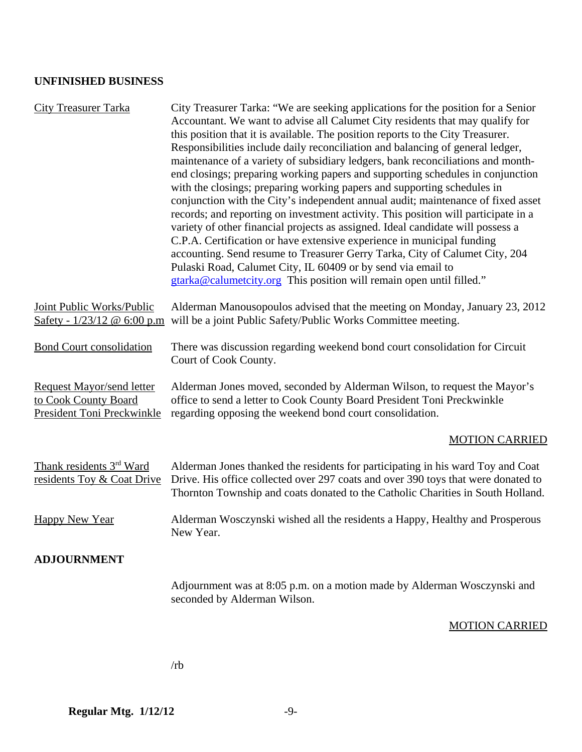# **UNFINISHED BUSINESS**

| <b>City Treasurer Tarka</b>                                                            | City Treasurer Tarka: "We are seeking applications for the position for a Senior<br>Accountant. We want to advise all Calumet City residents that may qualify for<br>this position that it is available. The position reports to the City Treasurer.<br>Responsibilities include daily reconciliation and balancing of general ledger,<br>maintenance of a variety of subsidiary ledgers, bank reconciliations and month-<br>end closings; preparing working papers and supporting schedules in conjunction<br>with the closings; preparing working papers and supporting schedules in<br>conjunction with the City's independent annual audit; maintenance of fixed asset<br>records; and reporting on investment activity. This position will participate in a<br>variety of other financial projects as assigned. Ideal candidate will possess a<br>C.P.A. Certification or have extensive experience in municipal funding<br>accounting. Send resume to Treasurer Gerry Tarka, City of Calumet City, 204<br>Pulaski Road, Calumet City, IL 60409 or by send via email to<br>gtarka@calumetcity.org This position will remain open until filled." |  |
|----------------------------------------------------------------------------------------|------------------------------------------------------------------------------------------------------------------------------------------------------------------------------------------------------------------------------------------------------------------------------------------------------------------------------------------------------------------------------------------------------------------------------------------------------------------------------------------------------------------------------------------------------------------------------------------------------------------------------------------------------------------------------------------------------------------------------------------------------------------------------------------------------------------------------------------------------------------------------------------------------------------------------------------------------------------------------------------------------------------------------------------------------------------------------------------------------------------------------------------------------|--|
| Joint Public Works/Public<br><u>Safety - <math>1/23/12</math> @ 6:00 p.m</u>           | Alderman Manousopoulos advised that the meeting on Monday, January 23, 2012<br>will be a joint Public Safety/Public Works Committee meeting.                                                                                                                                                                                                                                                                                                                                                                                                                                                                                                                                                                                                                                                                                                                                                                                                                                                                                                                                                                                                         |  |
| <b>Bond Court consolidation</b>                                                        | There was discussion regarding weekend bond court consolidation for Circuit<br>Court of Cook County.                                                                                                                                                                                                                                                                                                                                                                                                                                                                                                                                                                                                                                                                                                                                                                                                                                                                                                                                                                                                                                                 |  |
| <b>Request Mayor/send letter</b><br>to Cook County Board<br>President Toni Preckwinkle | Alderman Jones moved, seconded by Alderman Wilson, to request the Mayor's<br>office to send a letter to Cook County Board President Toni Preckwinkle<br>regarding opposing the weekend bond court consolidation.                                                                                                                                                                                                                                                                                                                                                                                                                                                                                                                                                                                                                                                                                                                                                                                                                                                                                                                                     |  |
|                                                                                        | <b>MOTION CARRIED</b>                                                                                                                                                                                                                                                                                                                                                                                                                                                                                                                                                                                                                                                                                                                                                                                                                                                                                                                                                                                                                                                                                                                                |  |
| Thank residents 3rd Ward<br>residents Toy & Coat Drive                                 | Alderman Jones thanked the residents for participating in his ward Toy and Coat<br>Drive. His office collected over 297 coats and over 390 toys that were donated to<br>Thornton Township and coats donated to the Catholic Charities in South Holland.                                                                                                                                                                                                                                                                                                                                                                                                                                                                                                                                                                                                                                                                                                                                                                                                                                                                                              |  |
| <b>Happy New Year</b>                                                                  | Alderman Wosczynski wished all the residents a Happy, Healthy and Prosperous<br>New Year.                                                                                                                                                                                                                                                                                                                                                                                                                                                                                                                                                                                                                                                                                                                                                                                                                                                                                                                                                                                                                                                            |  |
| <b>ADJOURNMENT</b>                                                                     |                                                                                                                                                                                                                                                                                                                                                                                                                                                                                                                                                                                                                                                                                                                                                                                                                                                                                                                                                                                                                                                                                                                                                      |  |
|                                                                                        | Adjournment was at 8:05 p.m. on a motion made by Alderman Wosczynski and<br>seconded by Alderman Wilson.                                                                                                                                                                                                                                                                                                                                                                                                                                                                                                                                                                                                                                                                                                                                                                                                                                                                                                                                                                                                                                             |  |

MOTION CARRIED

/rb